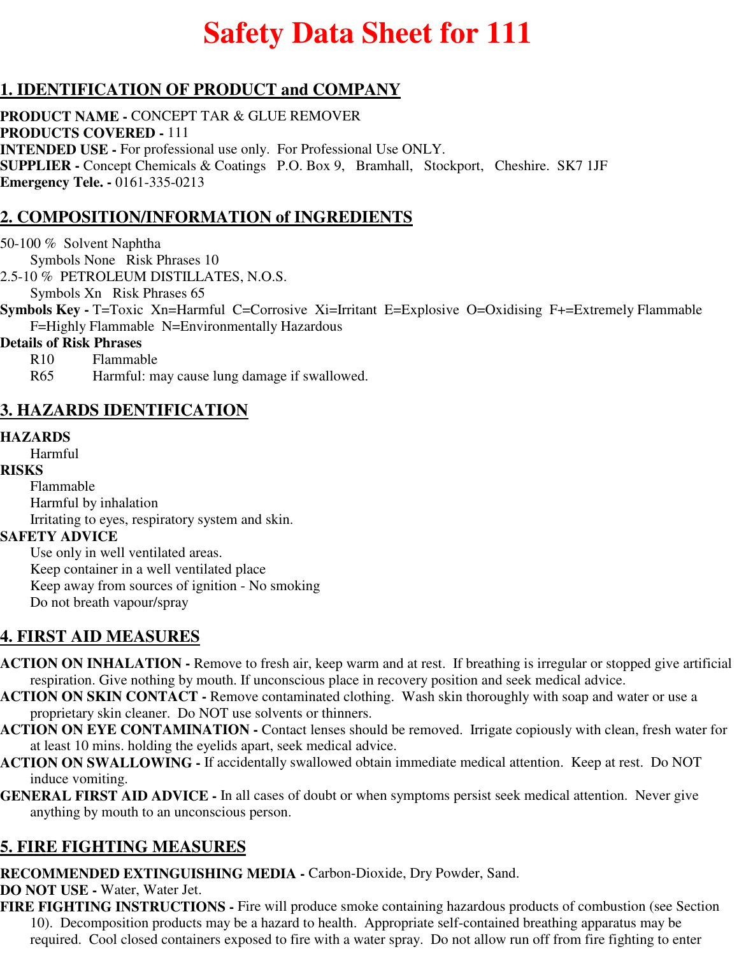# **Safety Data Sheet for 111**

# **1. IDENTIFICATION OF PRODUCT and COMPANY**

**PRODUCT NAME -** CONCEPT TAR & GLUE REMOVER **PRODUCTS COVERED -** 111 **INTENDED USE -** For professional use only. For Professional Use ONLY. **SUPPLIER -** Concept Chemicals & Coatings P.O. Box 9, Bramhall, Stockport, Cheshire. SK7 1JF **Emergency Tele. -** 0161-335-0213

# **2. COMPOSITION/INFORMATION of INGREDIENTS**

50-100 % Solvent Naphtha Symbols None Risk Phrases 10 2.5-10 % PETROLEUM DISTILLATES, N.O.S. Symbols Xn Risk Phrases 65

**Symbols Key - T=Toxic Xn=Harmful C=Corrosive Xi=Irritant E=Explosive O=Oxidising F+=Extremely Flammable** F=Highly Flammable N=Environmentally Hazardous

#### **Details of Risk Phrases**

R10 Flammable

R65 Harmful: may cause lung damage if swallowed.

## **3. HAZARDS IDENTIFICATION**

#### **HAZARDS**

Harmful

#### **RISKS**

Flammable

Harmful by inhalation Irritating to eyes, respiratory system and skin.

### **SAFETY ADVICE**

Use only in well ventilated areas. Keep container in a well ventilated place Keep away from sources of ignition - No smoking Do not breath vapour/spray

# **4. FIRST AID MEASURES**

- **ACTION ON INHALATION** Remove to fresh air, keep warm and at rest. If breathing is irregular or stopped give artificial respiration. Give nothing by mouth. If unconscious place in recovery position and seek medical advice.
- **ACTION ON SKIN CONTACT** Remove contaminated clothing. Wash skin thoroughly with soap and water or use a proprietary skin cleaner. Do NOT use solvents or thinners.
- **ACTION ON EYE CONTAMINATION** Contact lenses should be removed. Irrigate copiously with clean, fresh water for at least 10 mins. holding the eyelids apart, seek medical advice.
- **ACTION ON SWALLOWING** If accidentally swallowed obtain immediate medical attention. Keep at rest. Do NOT induce vomiting.
- **GENERAL FIRST AID ADVICE** In all cases of doubt or when symptoms persist seek medical attention. Never give anything by mouth to an unconscious person.

# **5. FIRE FIGHTING MEASURES**

**RECOMMENDED EXTINGUISHING MEDIA -** Carbon-Dioxide, Dry Powder, Sand.

**DO NOT USE -** Water, Water Jet.

**FIRE FIGHTING INSTRUCTIONS -** Fire will produce smoke containing hazardous products of combustion (see Section 10). Decomposition products may be a hazard to health. Appropriate self-contained breathing apparatus may be required. Cool closed containers exposed to fire with a water spray. Do not allow run off from fire fighting to enter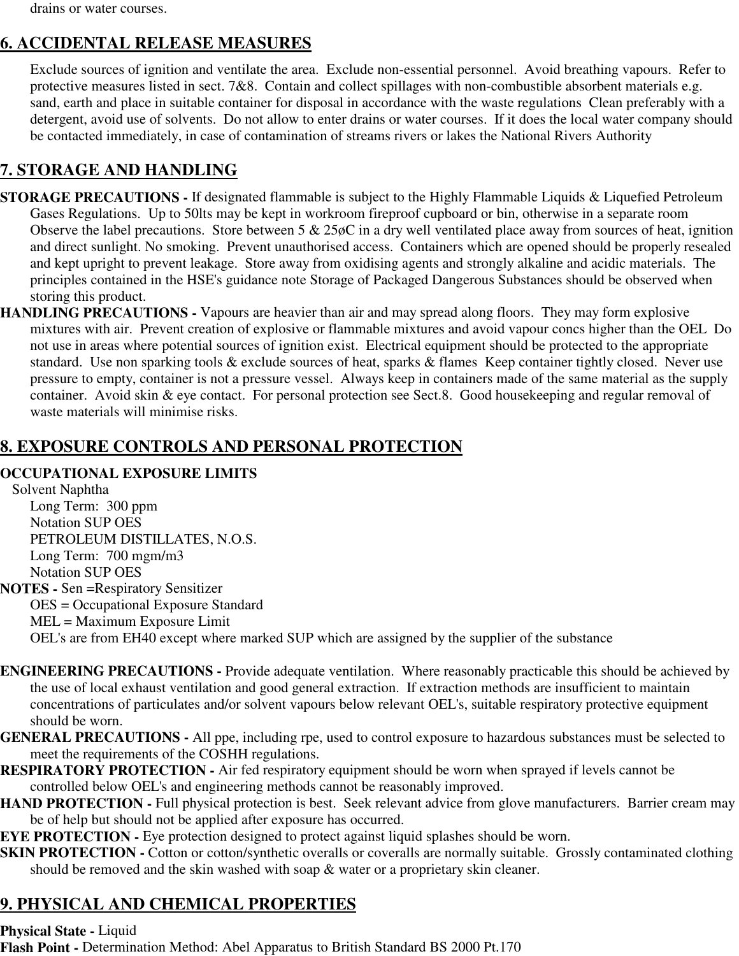drains or water courses.

# **6. ACCIDENTAL RELEASE MEASURES**

Exclude sources of ignition and ventilate the area. Exclude non-essential personnel. Avoid breathing vapours. Refer to protective measures listed in sect. 7&8. Contain and collect spillages with non-combustible absorbent materials e.g. sand, earth and place in suitable container for disposal in accordance with the waste regulations Clean preferably with a detergent, avoid use of solvents. Do not allow to enter drains or water courses. If it does the local water company should be contacted immediately, in case of contamination of streams rivers or lakes the National Rivers Authority

# **7. STORAGE AND HANDLING**

- **STORAGE PRECAUTIONS** If designated flammable is subject to the Highly Flammable Liquids & Liquefied Petroleum Gases Regulations. Up to 50lts may be kept in workroom fireproof cupboard or bin, otherwise in a separate room Observe the label precautions. Store between  $5 \& 25\phi$ C in a dry well ventilated place away from sources of heat, ignition and direct sunlight. No smoking. Prevent unauthorised access. Containers which are opened should be properly resealed and kept upright to prevent leakage. Store away from oxidising agents and strongly alkaline and acidic materials. The principles contained in the HSE's guidance note Storage of Packaged Dangerous Substances should be observed when storing this product.
- **HANDLING PRECAUTIONS** Vapours are heavier than air and may spread along floors. They may form explosive mixtures with air. Prevent creation of explosive or flammable mixtures and avoid vapour concs higher than the OEL Do not use in areas where potential sources of ignition exist. Electrical equipment should be protected to the appropriate standard. Use non sparking tools & exclude sources of heat, sparks & flames Keep container tightly closed. Never use pressure to empty, container is not a pressure vessel. Always keep in containers made of the same material as the supply container. Avoid skin & eye contact. For personal protection see Sect.8. Good housekeeping and regular removal of waste materials will minimise risks.

# **8. EXPOSURE CONTROLS AND PERSONAL PROTECTION**

#### **OCCUPATIONAL EXPOSURE LIMITS**

Solvent Naphtha Long Term: 300 ppm Notation SUP OES PETROLEUM DISTILLATES, N.O.S. Long Term: 700 mgm/m3 Notation SUP OES **NOTES -** Sen =Respiratory Sensitizer OES = Occupational Exposure Standard MEL = Maximum Exposure Limit OEL's are from EH40 except where marked SUP which are assigned by the supplier of the substance

- **ENGINEERING PRECAUTIONS** Provide adequate ventilation. Where reasonably practicable this should be achieved by the use of local exhaust ventilation and good general extraction. If extraction methods are insufficient to maintain concentrations of particulates and/or solvent vapours below relevant OEL's, suitable respiratory protective equipment should be worn.
- **GENERAL PRECAUTIONS** All ppe, including rpe, used to control exposure to hazardous substances must be selected to meet the requirements of the COSHH regulations.
- **RESPIRATORY PROTECTION** Air fed respiratory equipment should be worn when sprayed if levels cannot be controlled below OEL's and engineering methods cannot be reasonably improved.
- **HAND PROTECTION Full physical protection is best. Seek relevant advice from glove manufacturers. Barrier cream may** be of help but should not be applied after exposure has occurred.
- **EYE PROTECTION -** Eye protection designed to protect against liquid splashes should be worn.
- **SKIN PROTECTION -** Cotton or cotton/synthetic overalls or coveralls are normally suitable. Grossly contaminated clothing should be removed and the skin washed with soap & water or a proprietary skin cleaner.

# **9. PHYSICAL AND CHEMICAL PROPERTIES**

**Physical State -** Liquid

**Flash Point -** Determination Method: Abel Apparatus to British Standard BS 2000 Pt.170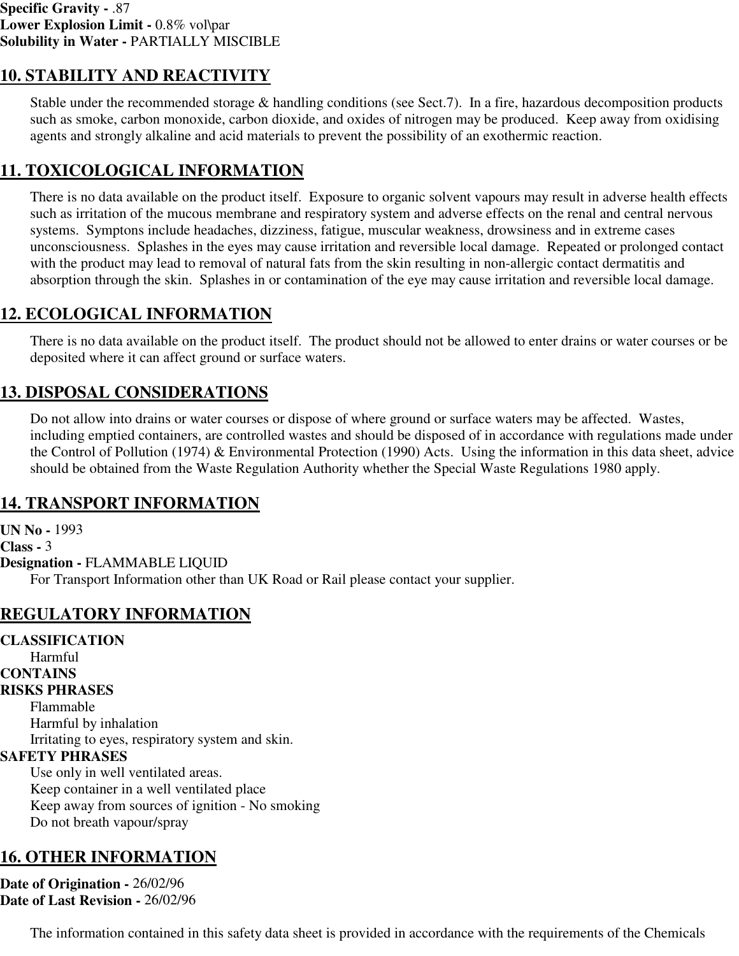## **10. STABILITY AND REACTIVITY**

Stable under the recommended storage & handling conditions (see Sect.7). In a fire, hazardous decomposition products such as smoke, carbon monoxide, carbon dioxide, and oxides of nitrogen may be produced. Keep away from oxidising agents and strongly alkaline and acid materials to prevent the possibility of an exothermic reaction.

## **11. TOXICOLOGICAL INFORMATION**

There is no data available on the product itself. Exposure to organic solvent vapours may result in adverse health effects such as irritation of the mucous membrane and respiratory system and adverse effects on the renal and central nervous systems. Symptons include headaches, dizziness, fatigue, muscular weakness, drowsiness and in extreme cases unconsciousness. Splashes in the eyes may cause irritation and reversible local damage. Repeated or prolonged contact with the product may lead to removal of natural fats from the skin resulting in non-allergic contact dermatitis and absorption through the skin. Splashes in or contamination of the eye may cause irritation and reversible local damage.

# **12. ECOLOGICAL INFORMATION**

There is no data available on the product itself. The product should not be allowed to enter drains or water courses or be deposited where it can affect ground or surface waters.

# **13. DISPOSAL CONSIDERATIONS**

Do not allow into drains or water courses or dispose of where ground or surface waters may be affected. Wastes, including emptied containers, are controlled wastes and should be disposed of in accordance with regulations made under the Control of Pollution (1974) & Environmental Protection (1990) Acts. Using the information in this data sheet, advice should be obtained from the Waste Regulation Authority whether the Special Waste Regulations 1980 apply.

## **14. TRANSPORT INFORMATION**

**UN No -** 1993 **Class -** 3 **Designation -** FLAMMABLE LIQUID For Transport Information other than UK Road or Rail please contact your supplier.

# **REGULATORY INFORMATION**

**CLASSIFICATION** Harmful **CONTAINS RISKS PHRASES** Flammable Harmful by inhalation Irritating to eyes, respiratory system and skin. **SAFETY PHRASES** Use only in well ventilated areas. Keep container in a well ventilated place Keep away from sources of ignition - No smoking Do not breath vapour/spray

## **16. OTHER INFORMATION**

**Date of Origination -** 26/02/96 **Date of Last Revision -** 26/02/96

The information contained in this safety data sheet is provided in accordance with the requirements of the Chemicals